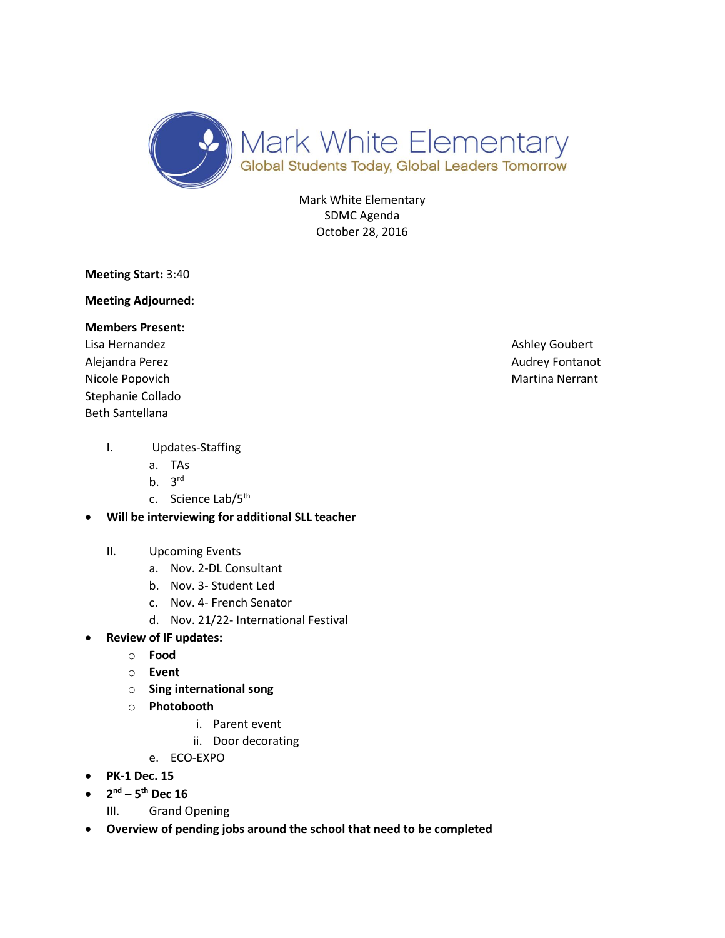

Mark White Elementary SDMC Agenda October 28, 2016

**Meeting Start:** 3:40

**Meeting Adjourned:** 

## **Members Present:**

Lisa Hernandez **Ashley Goubert** Channels Ashley Goubert Alejandra Perez **Audrey Fontanot** Audrey Fontanot Nicole Popovich **Martina Nerrant** Martina Nerrant Stephanie Collado Beth Santellana

## I. Updates-Staffing

- a. TAs
- b.  $3^{\text{rd}}$
- c. Science Lab/5<sup>th</sup>
- **Will be interviewing for additional SLL teacher**

## II. Upcoming Events

- a. Nov. 2-DL Consultant
- b. Nov. 3- Student Led
- c. Nov. 4- French Senator
- d. Nov. 21/22- International Festival
- **Review of IF updates:**
	- o **Food**
	- o **Event**
	- o **Sing international song**
	- o **Photobooth**
		- i. Parent event
		- ii. Door decorating
		- e. ECO-EXPO
- **PK-1 Dec. 15**
- **2 nd – 5 th Dec 16**
	- III. Grand Opening
- **Overview of pending jobs around the school that need to be completed**